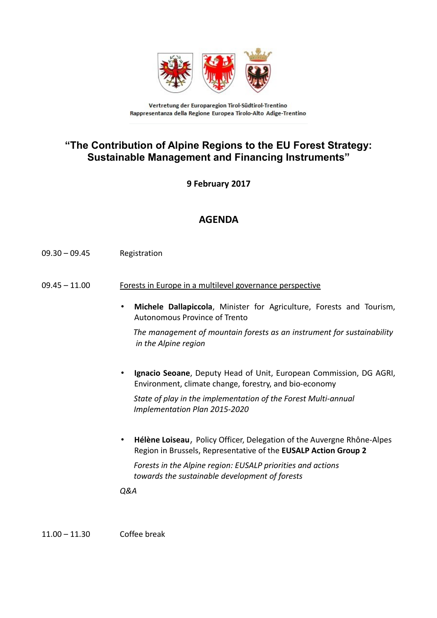

Vertretung der Europaregion Tirol-Südtirol-Trentino Rappresentanza della Regione Europea Tirolo-Alto Adige-Trentino

## **"The Contribution of Alpine Regions to the EU Forest Strategy: Sustainable Management and Financing Instruments"**

**9 February 2017**

## **AGENDA**

- 09.30 09.45 Registration
- 09.45 11.00 Forests in Europe in a multilevel governance perspective
	- **Michele Dallapiccola**, Minister for Agriculture, Forests and Tourism, Autonomous Province of Trento

 *The management of mountain forests as an instrument for sustainability in the Alpine region*

• **Ignacio Seoane**, Deputy Head of Unit, European Commission, DG AGRI, Environment, climate change, forestry, and bio-economy

 *State of play in the implementation of the Forest Multi-annual Implementation Plan 2015-2020* 

• **Hélène Loiseau**, Policy Officer, Delegation of the Auvergne Rhône-Alpes Region in Brussels, Representative of the **EUSALP Action Group 2**

 *Forests in the Alpine region: EUSALP priorities and actions towards the sustainable development of forests*

*Q&A*

11.00 – 11.30 Coffee break